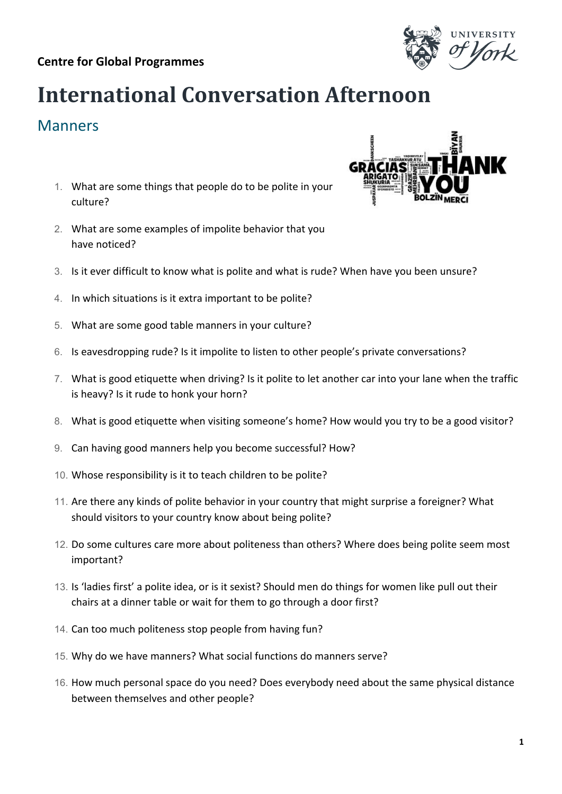## **International Conversation Afternoon**

## Manners

- 1. What are some things that people do to be polite in your culture?
- 2. What are some examples of impolite behavior that you have noticed?
- 3. Is it ever difficult to know what is polite and what is rude? When have you been unsure?
- 4. In which situations is it extra important to be polite?
- 5. What are some good table manners in your culture?
- 6. Is eavesdropping rude? Is it impolite to listen to other people's private conversations?
- 7. What is good etiquette when driving? Is it polite to let another car into your lane when the traffic is heavy? Is it rude to honk your horn?
- 8. What is good etiquette when visiting someone's home? How would you try to be a good visitor?
- 9. Can having good manners help you become successful? How?
- 10. Whose responsibility is it to teach children to be polite?
- 11. Are there any kinds of polite behavior in your country that might surprise a foreigner? What should visitors to your country know about being polite?
- 12. Do some cultures care more about politeness than others? Where does being polite seem most important?
- 13. Is 'ladies first' a polite idea, or is it sexist? Should men do things for women like pull out their chairs at a dinner table or wait for them to go through a door first?
- 14. Can too much politeness stop people from having fun?
- 15. Why do we have manners? What social functions do manners serve?
- 16. How much personal space do you need? Does everybody need about the same physical distance between themselves and other people?